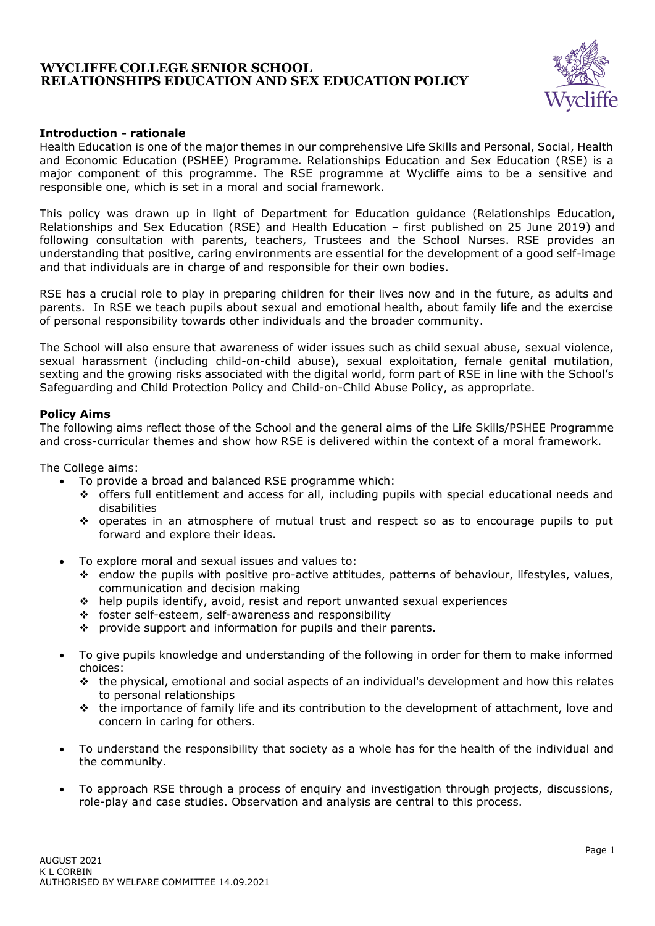

## **Introduction - rationale**

Health Education is one of the major themes in our comprehensive Life Skills and Personal, Social, Health and Economic Education (PSHEE) Programme. Relationships Education and Sex Education (RSE) is a major component of this programme. The RSE programme at Wycliffe aims to be a sensitive and responsible one, which is set in a moral and social framework.

This policy was drawn up in light of Department for Education guidance (Relationships Education, Relationships and Sex Education (RSE) and Health Education – first published on 25 June 2019) and following consultation with parents, teachers, Trustees and the School Nurses. RSE provides an understanding that positive, caring environments are essential for the development of a good self-image and that individuals are in charge of and responsible for their own bodies.

RSE has a crucial role to play in preparing children for their lives now and in the future, as adults and parents. In RSE we teach pupils about sexual and emotional health, about family life and the exercise of personal responsibility towards other individuals and the broader community.

The School will also ensure that awareness of wider issues such as child sexual abuse, sexual violence, sexual harassment (including child-on-child abuse), sexual exploitation, female genital mutilation, sexting and the growing risks associated with the digital world, form part of RSE in line with the School's Safeguarding and Child Protection Policy and Child-on-Child Abuse Policy, as appropriate.

## **Policy Aims**

The following aims reflect those of the School and the general aims of the Life Skills/PSHEE Programme and cross-curricular themes and show how RSE is delivered within the context of a moral framework.

The College aims:

- To provide a broad and balanced RSE programme which:
	- ❖ offers full entitlement and access for all, including pupils with special educational needs and disabilities
	- ❖ operates in an atmosphere of mutual trust and respect so as to encourage pupils to put forward and explore their ideas.
- To explore moral and sexual issues and values to:
	- ❖ endow the pupils with positive pro-active attitudes, patterns of behaviour, lifestyles, values, communication and decision making
	- ❖ help pupils identify, avoid, resist and report unwanted sexual experiences
	- ❖ foster self-esteem, self-awareness and responsibility
	- ❖ provide support and information for pupils and their parents.
- To give pupils knowledge and understanding of the following in order for them to make informed choices:
	- ❖ the physical, emotional and social aspects of an individual's development and how this relates to personal relationships
	- ❖ the importance of family life and its contribution to the development of attachment, love and concern in caring for others.
- To understand the responsibility that society as a whole has for the health of the individual and the community.
- To approach RSE through a process of enquiry and investigation through projects, discussions, role-play and case studies. Observation and analysis are central to this process.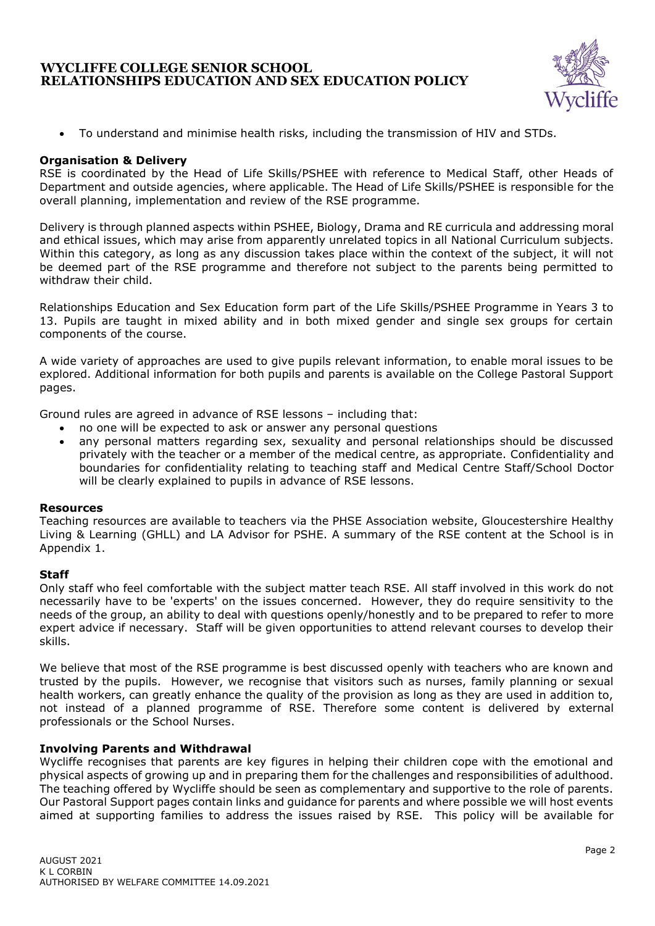

• To understand and minimise health risks, including the transmission of HIV and STDs.

## **Organisation & Delivery**

RSE is coordinated by the Head of Life Skills/PSHEE with reference to Medical Staff, other Heads of Department and outside agencies, where applicable. The Head of Life Skills/PSHEE is responsible for the overall planning, implementation and review of the RSE programme.

Delivery is through planned aspects within PSHEE, Biology, Drama and RE curricula and addressing moral and ethical issues, which may arise from apparently unrelated topics in all National Curriculum subjects. Within this category, as long as any discussion takes place within the context of the subject, it will not be deemed part of the RSE programme and therefore not subject to the parents being permitted to withdraw their child.

Relationships Education and Sex Education form part of the Life Skills/PSHEE Programme in Years 3 to 13. Pupils are taught in mixed ability and in both mixed gender and single sex groups for certain components of the course.

A wide variety of approaches are used to give pupils relevant information, to enable moral issues to be explored. Additional information for both pupils and parents is available on the College Pastoral Support pages.

Ground rules are agreed in advance of RSE lessons – including that:

- no one will be expected to ask or answer any personal questions
- any personal matters regarding sex, sexuality and personal relationships should be discussed privately with the teacher or a member of the medical centre, as appropriate. Confidentiality and boundaries for confidentiality relating to teaching staff and Medical Centre Staff/School Doctor will be clearly explained to pupils in advance of RSE lessons.

#### **Resources**

Teaching resources are available to teachers via the PHSE Association website, Gloucestershire Healthy Living & Learning (GHLL) and LA Advisor for PSHE. A summary of the RSE content at the School is in Appendix 1.

#### **Staff**

Only staff who feel comfortable with the subject matter teach RSE. All staff involved in this work do not necessarily have to be 'experts' on the issues concerned. However, they do require sensitivity to the needs of the group, an ability to deal with questions openly/honestly and to be prepared to refer to more expert advice if necessary. Staff will be given opportunities to attend relevant courses to develop their skills.

We believe that most of the RSE programme is best discussed openly with teachers who are known and trusted by the pupils. However, we recognise that visitors such as nurses, family planning or sexual health workers, can greatly enhance the quality of the provision as long as they are used in addition to, not instead of a planned programme of RSE. Therefore some content is delivered by external professionals or the School Nurses.

#### **Involving Parents and Withdrawal**

Wycliffe recognises that parents are key figures in helping their children cope with the emotional and physical aspects of growing up and in preparing them for the challenges and responsibilities of adulthood. The teaching offered by Wycliffe should be seen as complementary and supportive to the role of parents. Our Pastoral Support pages contain links and guidance for parents and where possible we will host events aimed at supporting families to address the issues raised by RSE. This policy will be available for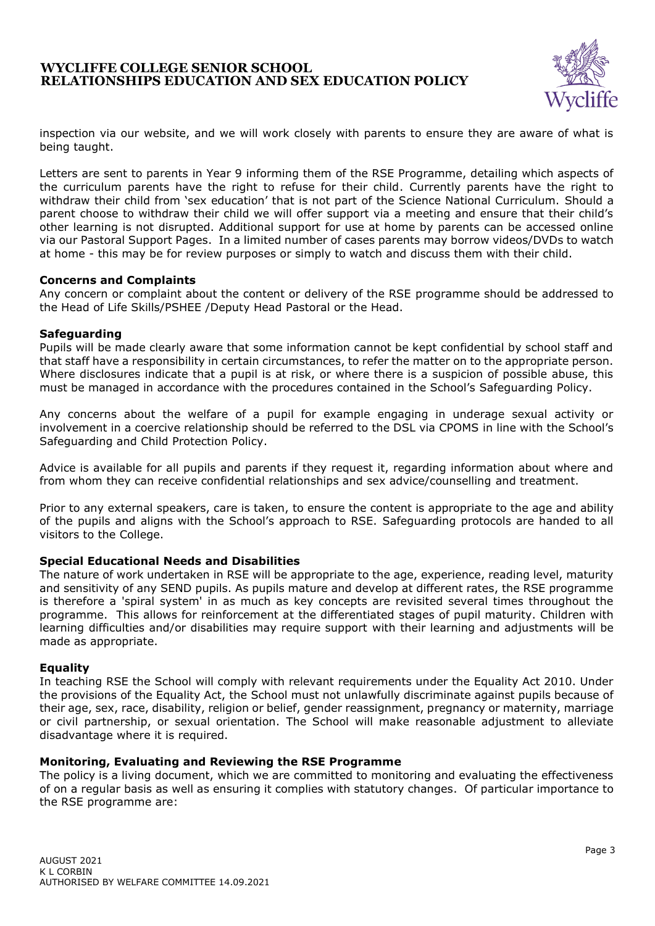

inspection via our website, and we will work closely with parents to ensure they are aware of what is being taught.

Letters are sent to parents in Year 9 informing them of the RSE Programme, detailing which aspects of the curriculum parents have the right to refuse for their child. Currently parents have the right to withdraw their child from 'sex education' that is not part of the Science National Curriculum. Should a parent choose to withdraw their child we will offer support via a meeting and ensure that their child's other learning is not disrupted. Additional support for use at home by parents can be accessed online via our Pastoral Support Pages. In a limited number of cases parents may borrow videos/DVDs to watch at home - this may be for review purposes or simply to watch and discuss them with their child.

#### **Concerns and Complaints**

Any concern or complaint about the content or delivery of the RSE programme should be addressed to the Head of Life Skills/PSHEE /Deputy Head Pastoral or the Head.

#### **Safeguarding**

Pupils will be made clearly aware that some information cannot be kept confidential by school staff and that staff have a responsibility in certain circumstances, to refer the matter on to the appropriate person. Where disclosures indicate that a pupil is at risk, or where there is a suspicion of possible abuse, this must be managed in accordance with the procedures contained in the School's Safeguarding Policy.

Any concerns about the welfare of a pupil for example engaging in underage sexual activity or involvement in a coercive relationship should be referred to the DSL via CPOMS in line with the School's Safeguarding and Child Protection Policy.

Advice is available for all pupils and parents if they request it, regarding information about where and from whom they can receive confidential relationships and sex advice/counselling and treatment.

Prior to any external speakers, care is taken, to ensure the content is appropriate to the age and ability of the pupils and aligns with the School's approach to RSE. Safeguarding protocols are handed to all visitors to the College.

#### **Special Educational Needs and Disabilities**

The nature of work undertaken in RSE will be appropriate to the age, experience, reading level, maturity and sensitivity of any SEND pupils. As pupils mature and develop at different rates, the RSE programme is therefore a 'spiral system' in as much as key concepts are revisited several times throughout the programme. This allows for reinforcement at the differentiated stages of pupil maturity. Children with learning difficulties and/or disabilities may require support with their learning and adjustments will be made as appropriate.

#### **Equality**

In teaching RSE the School will comply with relevant requirements under the Equality Act 2010. Under the provisions of the Equality Act, the School must not unlawfully discriminate against pupils because of their age, sex, race, disability, religion or belief, gender reassignment, pregnancy or maternity, marriage or civil partnership, or sexual orientation. The School will make reasonable adjustment to alleviate disadvantage where it is required.

#### **Monitoring, Evaluating and Reviewing the RSE Programme**

The policy is a living document, which we are committed to monitoring and evaluating the effectiveness of on a regular basis as well as ensuring it complies with statutory changes. Of particular importance to the RSE programme are: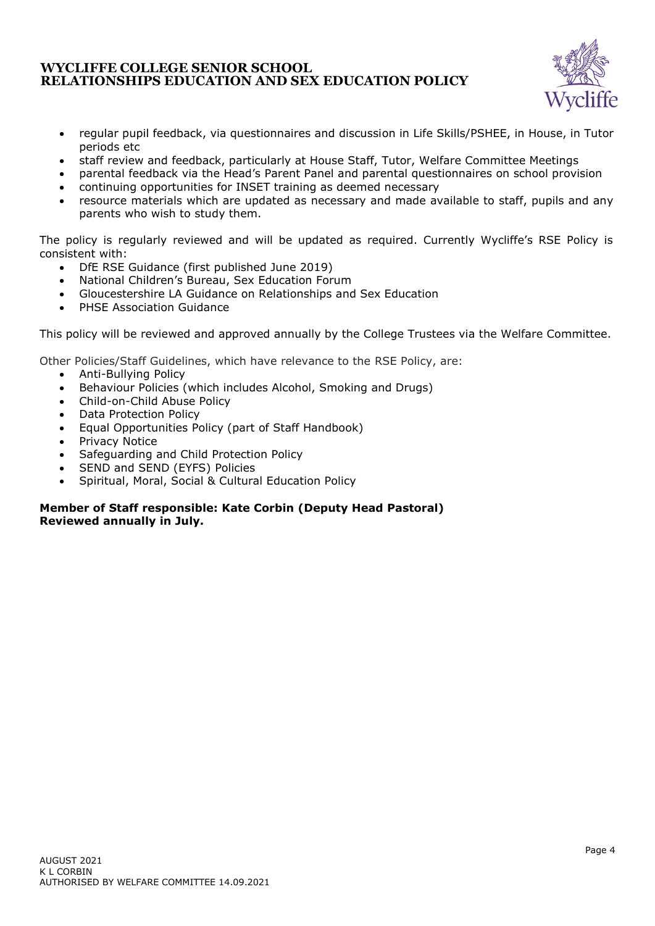

- regular pupil feedback, via questionnaires and discussion in Life Skills/PSHEE, in House, in Tutor periods etc
- staff review and feedback, particularly at House Staff, Tutor, Welfare Committee Meetings
- parental feedback via the Head's Parent Panel and parental questionnaires on school provision
- continuing opportunities for INSET training as deemed necessary
- resource materials which are updated as necessary and made available to staff, pupils and any parents who wish to study them.

The policy is regularly reviewed and will be updated as required. Currently Wycliffe's RSE Policy is consistent with:

- DfE RSE Guidance (first published June 2019)
- National Children's Bureau, Sex Education Forum
- Gloucestershire LA Guidance on Relationships and Sex Education
- PHSE Association Guidance

This policy will be reviewed and approved annually by the College Trustees via the Welfare Committee.

Other Policies/Staff Guidelines, which have relevance to the RSE Policy, are:

- Anti-Bullying Policy
- Behaviour Policies (which includes Alcohol, Smoking and Drugs)
- Child-on-Child Abuse Policy
- Data Protection Policy
- Equal Opportunities Policy (part of Staff Handbook)
- Privacy Notice
- Safeguarding and Child Protection Policy
- SEND and SEND (EYFS) Policies
- Spiritual, Moral, Social & Cultural Education Policy

## **Member of Staff responsible: Kate Corbin (Deputy Head Pastoral) Reviewed annually in July.**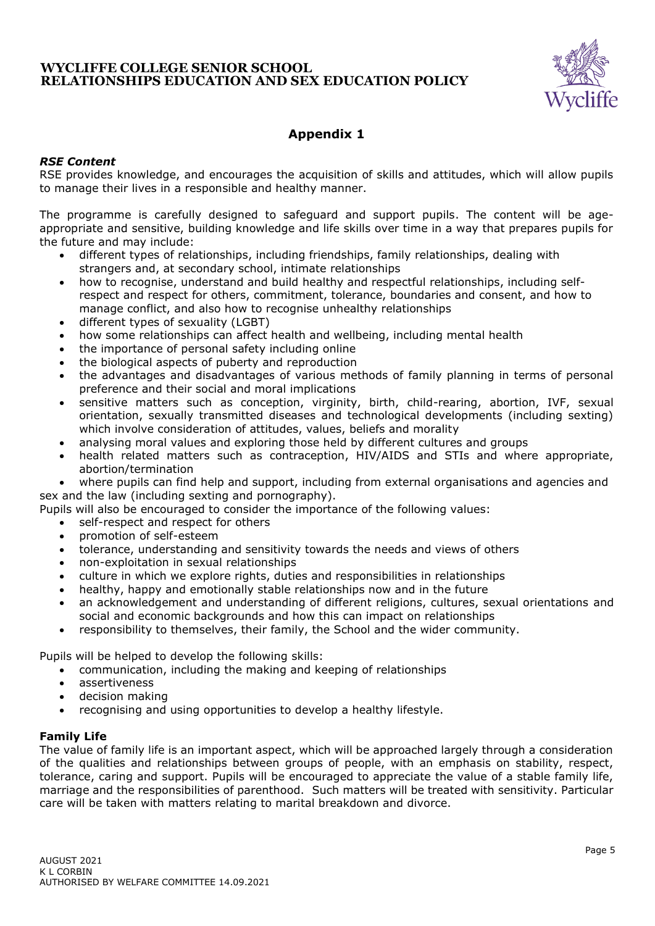

# **Appendix 1**

# *RSE Content*

RSE provides knowledge, and encourages the acquisition of skills and attitudes, which will allow pupils to manage their lives in a responsible and healthy manner.

The programme is carefully designed to safeguard and support pupils. The content will be ageappropriate and sensitive, building knowledge and life skills over time in a way that prepares pupils for the future and may include:

- different types of relationships, including friendships, family relationships, dealing with strangers and, at secondary school, intimate relationships
- how to recognise, understand and build healthy and respectful relationships, including selfrespect and respect for others, commitment, tolerance, boundaries and consent, and how to manage conflict, and also how to recognise unhealthy relationships
- different types of sexuality (LGBT)
- how some relationships can affect health and wellbeing, including mental health
- the importance of personal safety including online
- the biological aspects of puberty and reproduction
- the advantages and disadvantages of various methods of family planning in terms of personal preference and their social and moral implications
- sensitive matters such as conception, virginity, birth, child-rearing, abortion, IVF, sexual orientation, sexually transmitted diseases and technological developments (including sexting) which involve consideration of attitudes, values, beliefs and morality
- analysing moral values and exploring those held by different cultures and groups
- health related matters such as contraception, HIV/AIDS and STIs and where appropriate, abortion/termination

• where pupils can find help and support, including from external organisations and agencies and sex and the law (including sexting and pornography).

Pupils will also be encouraged to consider the importance of the following values:

- self-respect and respect for others
- promotion of self-esteem
- tolerance, understanding and sensitivity towards the needs and views of others
- non-exploitation in sexual relationships
- culture in which we explore rights, duties and responsibilities in relationships
- healthy, happy and emotionally stable relationships now and in the future
- an acknowledgement and understanding of different religions, cultures, sexual orientations and social and economic backgrounds and how this can impact on relationships
- responsibility to themselves, their family, the School and the wider community.

Pupils will be helped to develop the following skills:

- communication, including the making and keeping of relationships
- assertiveness
- decision making
- recognising and using opportunities to develop a healthy lifestyle.

## **Family Life**

The value of family life is an important aspect, which will be approached largely through a consideration of the qualities and relationships between groups of people, with an emphasis on stability, respect, tolerance, caring and support. Pupils will be encouraged to appreciate the value of a stable family life, marriage and the responsibilities of parenthood. Such matters will be treated with sensitivity. Particular care will be taken with matters relating to marital breakdown and divorce.